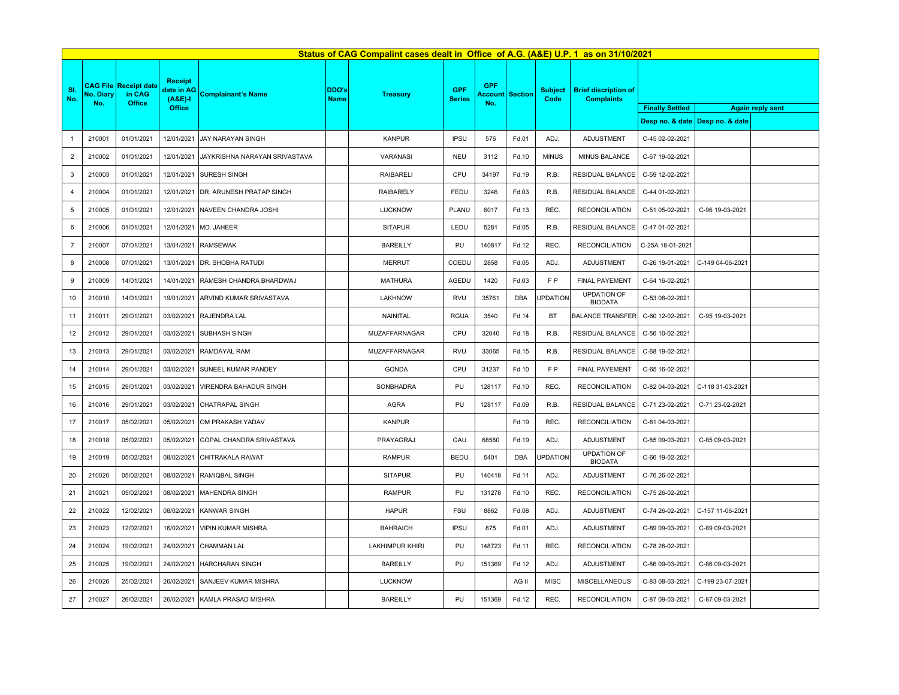|                | Status of CAG Compalint cases dealt in Office of A.G. (A&E) U.P. 1 as on 31/10/2021 |                                                         |                                         |                               |                      |                        |                             |                   |                        |                        |                                                  |                        |                                   |                         |
|----------------|-------------------------------------------------------------------------------------|---------------------------------------------------------|-----------------------------------------|-------------------------------|----------------------|------------------------|-----------------------------|-------------------|------------------------|------------------------|--------------------------------------------------|------------------------|-----------------------------------|-------------------------|
| SI.<br>No.     | No. Diary<br>No.                                                                    | <b>CAG File Receipt date</b><br>in CAG<br><b>Office</b> | <b>Receipt</b><br>date in AG<br>$(A&E)$ | <b>Complainant's Name</b>     | DDO's<br><b>Name</b> | <b>Treasury</b>        | <b>GPF</b><br><b>Series</b> | <b>GPF</b><br>No. | <b>Account Section</b> | <b>Subject</b><br>Code | <b>Brief discription of</b><br><b>Complaints</b> |                        |                                   |                         |
|                |                                                                                     |                                                         | <b>Office</b>                           |                               |                      |                        |                             |                   |                        |                        |                                                  | <b>Finally Settled</b> | Desp no. & date   Desp no. & date | <b>Again reply sent</b> |
|                |                                                                                     |                                                         |                                         |                               |                      |                        |                             |                   |                        |                        |                                                  |                        |                                   |                         |
|                | 210001                                                                              | 01/01/2021                                              | 12/01/2021                              | JAY NARAYAN SINGH             |                      | <b>KANPUR</b>          | <b>IPSU</b>                 | 576               | Fd.01                  | ADJ.                   | ADJUSTMENT                                       | C-45 02-02-2021        |                                   |                         |
| $\overline{2}$ | 210002                                                                              | 01/01/2021                                              | 12/01/2021                              | JAYKRISHNA NARAYAN SRIVASTAVA |                      | VARANASI               | <b>NEU</b>                  | 3112              | Fd.10                  | <b>MINUS</b>           | MINUS BALANCE                                    | C-67 19-02-2021        |                                   |                         |
| 3              | 210003                                                                              | 01/01/2021                                              | 12/01/2021                              | <b>SURESH SINGH</b>           |                      | <b>RAIBARELI</b>       | CPU                         | 34197             | Fd.19                  | R.B.                   | RESIDUAL BALANCE                                 | C-59 12-02-2021        |                                   |                         |
|                | 210004                                                                              | 01/01/2021                                              | 12/01/2021                              | DR. ARUNESH PRATAP SINGH      |                      | <b>RAIBARELY</b>       | FEDU                        | 3246              | Fd.03                  | R.B.                   | RESIDUAL BALANCE                                 | C-44 01-02-2021        |                                   |                         |
| 5              | 210005                                                                              | 01/01/2021                                              | 12/01/2021                              | NAVEEN CHANDRA JOSHI          |                      | <b>LUCKNOW</b>         | PLANU                       | 6017              | Fd.13                  | REC.                   | <b>RECONCILIATION</b>                            | C-51 05-02-2021        | C-96 19-03-2021                   |                         |
| 6              | 210006                                                                              | 01/01/2021                                              | 12/01/2021                              | MD. JAHEER                    |                      | <b>SITAPUR</b>         | LEDU                        | 5281              | Fd.05                  | R.B.                   | RESIDUAL BALANCE                                 | C-47 01-02-2021        |                                   |                         |
| $\overline{7}$ | 210007                                                                              | 07/01/2021                                              | 13/01/2021                              | <b>RAMSEWAK</b>               |                      | <b>BAREILLY</b>        | PU                          | 140817            | Fd.12                  | REC                    | <b>RECONCILIATION</b>                            | C-25A 18-01-2021       |                                   |                         |
| 8              | 210008                                                                              | 07/01/2021                                              | 13/01/2021                              | DR. SHOBHA RATUDI             |                      | <b>MERRUT</b>          | COEDU                       | 2858              | Fd.05                  | ADJ.                   | <b>ADJUSTMENT</b>                                | C-26 19-01-2021        | C-149 04-06-2021                  |                         |
| 9              | 210009                                                                              | 14/01/2021                                              | 14/01/2021                              | RAMESH CHANDRA BHARDWAJ       |                      | <b>MATHURA</b>         | AGEDU                       | 1420              | Fd.03                  | F P                    | <b>FINAL PAYEMENT</b>                            | C-64 16-02-2021        |                                   |                         |
| 10             | 210010                                                                              | 14/01/2021                                              | 19/01/2021                              | ARVIND KUMAR SRIVASTAVA       |                      | <b>LAKHNOW</b>         | <b>RVU</b>                  | 35761             | <b>DBA</b>             | <b>UPDATION</b>        | <b>UPDATION OF</b><br><b>BIODATA</b>             | C-53 08-02-2021        |                                   |                         |
| 11             | 210011                                                                              | 29/01/2021                                              | 03/02/2021                              | RAJENDRA LAL                  |                      | NAINITAL               | <b>RGUA</b>                 | 3540              | Fd.14                  | BT                     | <b>BALANCE TRANSFER</b>                          | C-60 12-02-2021        | C-95 19-03-2021                   |                         |
| 12             | 210012                                                                              | 29/01/2021                                              | 03/02/2021                              | SUBHASH SINGH                 |                      | MUZAFFARNAGAR          | CPU                         | 32040             | Fd.18                  | R.B.                   | RESIDUAL BALANCE                                 | C-56 10-02-2021        |                                   |                         |
| 13             | 210013                                                                              | 29/01/2021                                              | 03/02/2021                              | <b>RAMDAYAL RAM</b>           |                      | <b>MUZAFFARNAGAR</b>   | <b>RVU</b>                  | 33065             | Fd.15                  | R.B.                   | RESIDUAL BALANCE                                 | C-68 19-02-2021        |                                   |                         |
| 14             | 210014                                                                              | 29/01/2021                                              | 03/02/2021                              | SUNEEL KUMAR PANDEY           |                      | <b>GONDA</b>           | CPU                         | 31237             | Fd.10                  | F P                    | <b>FINAL PAYEMENT</b>                            | C-65 16-02-2021        |                                   |                         |
| 15             | 210015                                                                              | 29/01/2021                                              | 03/02/2021                              | <b>VIRENDRA BAHADUR SINGH</b> |                      | SONBHADRA              | PU                          | 128117            | Fd.10                  | REC.                   | <b>RECONCILIATION</b>                            | C-82 04-03-2021        | C-118 31-03-2021                  |                         |
| 16             | 210016                                                                              | 29/01/2021                                              | 03/02/2021                              | <b>CHATRAPAL SINGH</b>        |                      | <b>AGRA</b>            | PU                          | 128117            | Fd.09                  | R.B.                   | RESIDUAL BALANCE                                 | C-71 23-02-2021        | C-71 23-02-2021                   |                         |
| 17             | 210017                                                                              | 05/02/2021                                              | 05/02/2021                              | OM PRAKASH YADAV              |                      | <b>KANPUR</b>          |                             |                   | Fd.19                  | REC.                   | <b>RECONCILIATION</b>                            | C-81 04-03-2021        |                                   |                         |
| 18             | 210018                                                                              | 05/02/2021                                              | 05/02/2021                              | GOPAL CHANDRA SRIVASTAVA      |                      | PRAYAGRAJ              | GAU                         | 68580             | Fd.19                  | ADJ.                   | <b>ADJUSTMENT</b>                                | C-85 09-03-2021        | C-85 09-03-2021                   |                         |
| 19             | 210019                                                                              | 05/02/2021                                              | 08/02/2021                              | CHITRAKALA RAWAT              |                      | <b>RAMPUR</b>          | <b>BEDU</b>                 | 5401              | <b>DBA</b>             | <b>UPDATION</b>        | <b>UPDATION OF</b><br><b>BIODATA</b>             | C-66 19-02-2021        |                                   |                         |
| 20             | 210020                                                                              | 05/02/2021                                              | 08/02/2021                              | RAMIQBAL SINGH                |                      | <b>SITAPUR</b>         | PU                          | 140418            | Fd.11                  | ADJ.                   | <b>ADJUSTMENT</b>                                | C-76 26-02-2021        |                                   |                         |
| 21             | 210021                                                                              | 05/02/2021                                              | 08/02/2021                              | MAHENDRA SINGH                |                      | <b>RAMPUR</b>          | PU                          | 131278            | Fd.10                  | REC.                   | <b>RECONCILIATION</b>                            | C-75 26-02-2021        |                                   |                         |
| 22             | 210022                                                                              | 12/02/2021                                              | 08/02/2021                              | <b>KANWAR SINGH</b>           |                      | <b>HAPUR</b>           | <b>FSU</b>                  | 8862              | Fd.08                  | ADJ.                   | ADJUSTMENT                                       | C-74 26-02-2021        | C-157 11-06-2021                  |                         |
| 23             | 210023                                                                              | 12/02/2021                                              | 16/02/2021                              | <b>VIPIN KUMAR MISHRA</b>     |                      | <b>BAHRAICH</b>        | <b>IPSU</b>                 | 875               | Fd.01                  | ADJ.                   | ADJUSTMENT                                       | C-89 09-03-2021        | C-89 09-03-2021                   |                         |
| 24             | 210024                                                                              | 19/02/2021                                              | 24/02/2021                              | <b>CHAMMAN LAL</b>            |                      | <b>LAKHIMPUR KHIRI</b> | PU                          | 148723            | Fd.11                  | REC.                   | <b>RECONCILIATION</b>                            | C-78 26-02-2021        |                                   |                         |
| 25             | 210025                                                                              | 19/02/2021                                              | 24/02/2021                              | HARCHARAN SINGH               |                      | <b>BAREILLY</b>        | PU                          | 151369            | Fd.12                  | ADJ.                   | ADJUSTMENT                                       | C-86 09-03-2021        | C-86 09-03-2021                   |                         |
| 26             | 210026                                                                              | 25/02/2021                                              | 26/02/2021                              | <b>SANJEEV KUMAR MISHRA</b>   |                      | <b>LUCKNOW</b>         |                             |                   | AG II                  | <b>MISC</b>            | MISCELLANEOUS                                    | C-83 08-03-2021        | C-199 23-07-2021                  |                         |
| 27             | 210027                                                                              | 26/02/2021                                              | 26/02/2021                              | KAMLA PRASAD MISHRA           |                      | <b>BAREILLY</b>        | PU                          | 151369            | Fd.12                  | REC.                   | <b>RECONCILIATION</b>                            | C-87 09-03-2021        | C-87 09-03-2021                   |                         |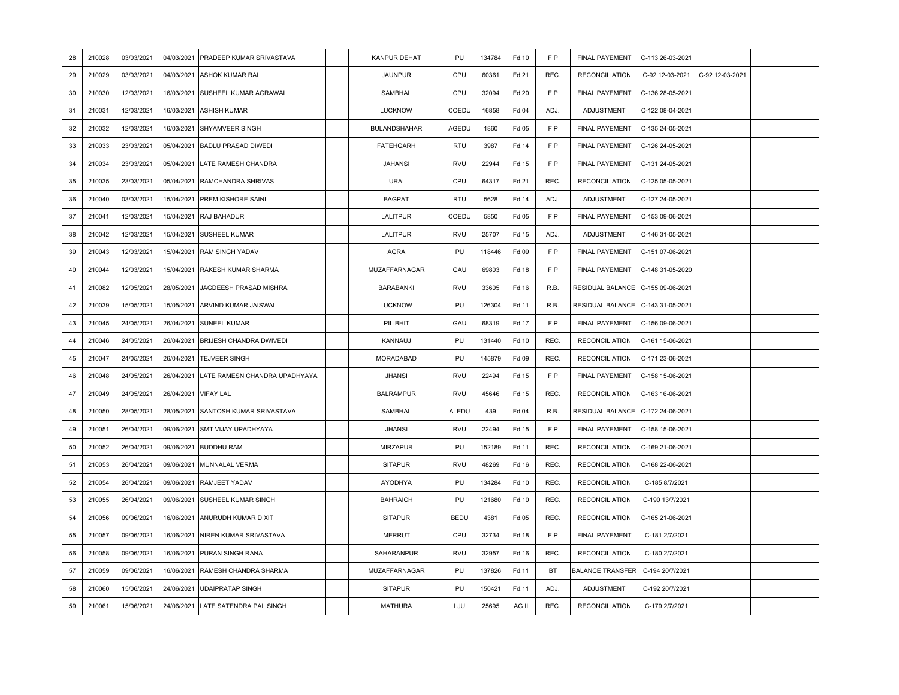| 28 | 210028 | 03/03/2021 | 04/03/2021 | PRADEEP KUMAR SRIVASTAVA      | <b>KANPUR DEHAT</b>  | PU          | 134784 | Fd.10 | F P            | <b>FINAL PAYEMENT</b>   | C-113 26-03-2021 |                 |  |
|----|--------|------------|------------|-------------------------------|----------------------|-------------|--------|-------|----------------|-------------------------|------------------|-----------------|--|
| 29 | 210029 | 03/03/2021 | 04/03/2021 | ASHOK KUMAR RAI               | <b>JAUNPUR</b>       | CPU         | 60361  | Fd.21 | REC.           | <b>RECONCILIATION</b>   | C-92 12-03-2021  | C-92 12-03-2021 |  |
| 30 | 210030 | 12/03/2021 | 16/03/2021 | SUSHEEL KUMAR AGRAWAL         | SAMBHAL              | CPU         | 32094  | Fd.20 | F <sub>P</sub> | <b>FINAL PAYEMENT</b>   | C-136 28-05-2021 |                 |  |
| 31 | 210031 | 12/03/2021 | 16/03/2021 | <b>ASHISH KUMAR</b>           | <b>LUCKNOW</b>       | COEDU       | 16858  | Fd.04 | ADJ.           | <b>ADJUSTMENT</b>       | C-122 08-04-2021 |                 |  |
| 32 | 210032 | 12/03/2021 | 16/03/2021 | SHYAMVEER SINGH               | BULANDSHAHAR         | AGEDU       | 1860   | Fd.05 | FP             | <b>FINAL PAYEMENT</b>   | C-135 24-05-2021 |                 |  |
| 33 | 210033 | 23/03/2021 | 05/04/2021 | <b>BADLU PRASAD DIWEDI</b>    | <b>FATEHGARH</b>     | <b>RTU</b>  | 3987   | Fd.14 | F <sub>P</sub> | FINAL PAYEMENT          | C-126 24-05-2021 |                 |  |
| 34 | 210034 | 23/03/2021 | 05/04/2021 | LATE RAMESH CHANDRA           | <b>JAHANSI</b>       | <b>RVU</b>  | 22944  | Fd.15 | F P            | <b>FINAL PAYEMENT</b>   | C-131 24-05-2021 |                 |  |
| 35 | 210035 | 23/03/2021 | 05/04/2021 | RAMCHANDRA SHRIVAS            | URAI                 | CPU         | 64317  | Fd.21 | REC.           | <b>RECONCILIATION</b>   | C-125 05-05-2021 |                 |  |
| 36 | 210040 | 03/03/2021 | 15/04/2021 | PREM KISHORE SAINI            | <b>BAGPAT</b>        | <b>RTU</b>  | 5628   | Fd.14 | ADJ.           | <b>ADJUSTMENT</b>       | C-127 24-05-2021 |                 |  |
| 37 | 210041 | 12/03/2021 | 15/04/2021 | <b>RAJ BAHADUR</b>            | <b>LALITPUR</b>      | COEDU       | 5850   | Fd.05 | F P            | <b>FINAL PAYEMENT</b>   | C-153 09-06-2021 |                 |  |
| 38 | 210042 | 12/03/2021 | 15/04/2021 | SUSHEEL KUMAR                 | LALITPUR             | <b>RVU</b>  | 25707  | Fd.15 | ADJ.           | ADJUSTMENT              | C-146 31-05-2021 |                 |  |
| 39 | 210043 | 12/03/2021 | 15/04/2021 | <b>RAM SINGH YADAV</b>        | <b>AGRA</b>          | PU          | 118446 | Fd.09 | FP             | <b>FINAL PAYEMENT</b>   | C-151 07-06-2021 |                 |  |
| 40 | 210044 | 12/03/2021 | 15/04/2021 | RAKESH KUMAR SHARMA           | <b>MUZAFFARNAGAR</b> | GAU         | 69803  | Fd.18 | F P            | <b>FINAL PAYEMENT</b>   | C-148 31-05-2020 |                 |  |
| 41 | 210082 | 12/05/2021 | 28/05/2021 | JAGDEESH PRASAD MISHRA        | <b>BARABANKI</b>     | <b>RVU</b>  | 33605  | Fd.16 | R.B.           | RESIDUAL BALANCE        | C-155 09-06-2021 |                 |  |
| 42 | 210039 | 15/05/2021 | 15/05/2021 | ARVIND KUMAR JAISWAL          | <b>LUCKNOW</b>       | PU          | 126304 | Fd.11 | R.B.           | RESIDUAL BALANCE        | C-143 31-05-2021 |                 |  |
| 43 | 210045 | 24/05/2021 | 26/04/2021 | <b>SUNEEL KUMAR</b>           | PILIBHIT             | GAU         | 68319  | Fd.17 | F P            | FINAL PAYEMENT          | C-156 09-06-2021 |                 |  |
| 44 | 210046 | 24/05/2021 | 26/04/2021 | BRIJESH CHANDRA DWIVEDI       | KANNAUJ              | PU          | 131440 | Fd.10 | REC.           | <b>RECONCILIATION</b>   | C-161 15-06-2021 |                 |  |
| 45 | 210047 | 24/05/2021 | 26/04/2021 | <b>TEJVEER SINGH</b>          | <b>MORADABAD</b>     | PU          | 145879 | Fd.09 | REC.           | <b>RECONCILIATION</b>   | C-171 23-06-2021 |                 |  |
| 46 | 210048 | 24/05/2021 | 26/04/2021 | LATE RAMESN CHANDRA UPADHYAYA | <b>JHANSI</b>        | <b>RVU</b>  | 22494  | Fd.15 | F P            | FINAL PAYEMENT          | C-158 15-06-2021 |                 |  |
| 47 | 210049 | 24/05/2021 | 26/04/2021 | <b>VIFAY LAL</b>              | <b>BALRAMPUR</b>     | <b>RVU</b>  | 45646  | Fd.15 | REC.           | <b>RECONCILIATION</b>   | C-163 16-06-2021 |                 |  |
| 48 | 210050 | 28/05/2021 | 28/05/2021 | SANTOSH KUMAR SRIVASTAVA      | SAMBHAL              | ALEDU       | 439    | Fd.04 | R.B.           | RESIDUAL BALANCE        | C-172 24-06-2021 |                 |  |
| 49 | 210051 | 26/04/2021 | 09/06/2021 | SMT VIJAY UPADHYAYA           | <b>JHANSI</b>        | <b>RVU</b>  | 22494  | Fd.15 | F P            | <b>FINAL PAYEMENT</b>   | C-158 15-06-2021 |                 |  |
| 50 | 210052 | 26/04/2021 | 09/06/2021 | <b>BUDDHU RAM</b>             | <b>MIRZAPUR</b>      | PU          | 152189 | Fd.11 | REC.           | <b>RECONCILIATION</b>   | C-169 21-06-2021 |                 |  |
| 51 | 210053 | 26/04/2021 | 09/06/2021 | <b>MUNNALAL VERMA</b>         | <b>SITAPUR</b>       | <b>RVU</b>  | 48269  | Fd.16 | REC.           | <b>RECONCILIATION</b>   | C-168 22-06-2021 |                 |  |
| 52 | 210054 | 26/04/2021 | 09/06/2021 | RAMJEET YADAV                 | AYODHYA              | PU          | 134284 | Fd.10 | REC.           | <b>RECONCILIATION</b>   | C-185 8/7/2021   |                 |  |
| 53 | 210055 | 26/04/2021 | 09/06/2021 | SUSHEEL KUMAR SINGH           | <b>BAHRAICH</b>      | PU          | 121680 | Fd.10 | REC.           | <b>RECONCILIATION</b>   | C-190 13/7/2021  |                 |  |
| 54 | 210056 | 09/06/2021 | 16/06/2021 | ANURUDH KUMAR DIXIT           | <b>SITAPUR</b>       | <b>BEDU</b> | 4381   | Fd.05 | REC.           | <b>RECONCILIATION</b>   | C-165 21-06-2021 |                 |  |
| 55 | 210057 | 09/06/2021 | 16/06/2021 | NIREN KUMAR SRIVASTAVA        | <b>MERRUT</b>        | CPU         | 32734  | Fd.18 | F P            | FINAL PAYEMENT          | C-181 2/7/2021   |                 |  |
| 56 | 210058 | 09/06/2021 | 16/06/2021 | PURAN SINGH RANA              | SAHARANPUR           | <b>RVU</b>  | 32957  | Fd.16 | REC.           | <b>RECONCILIATION</b>   | C-180 2/7/2021   |                 |  |
| 57 | 210059 | 09/06/2021 | 16/06/2021 | RAMESH CHANDRA SHARMA         | <b>MUZAFFARNAGAR</b> | PU          | 137826 | Fd.11 | BT             | <b>BALANCE TRANSFER</b> | C-194 20/7/2021  |                 |  |
| 58 | 210060 | 15/06/2021 | 24/06/2021 | <b>UDAIPRATAP SINGH</b>       | <b>SITAPUR</b>       | PU          | 150421 | Fd.11 | ADJ.           | <b>ADJUSTMENT</b>       | C-192 20/7/2021  |                 |  |
| 59 | 210061 | 15/06/2021 | 24/06/2021 | LATE SATENDRA PAL SINGH       | <b>MATHURA</b>       | LJU         | 25695  | AG II | REC.           | <b>RECONCILIATION</b>   | C-179 2/7/2021   |                 |  |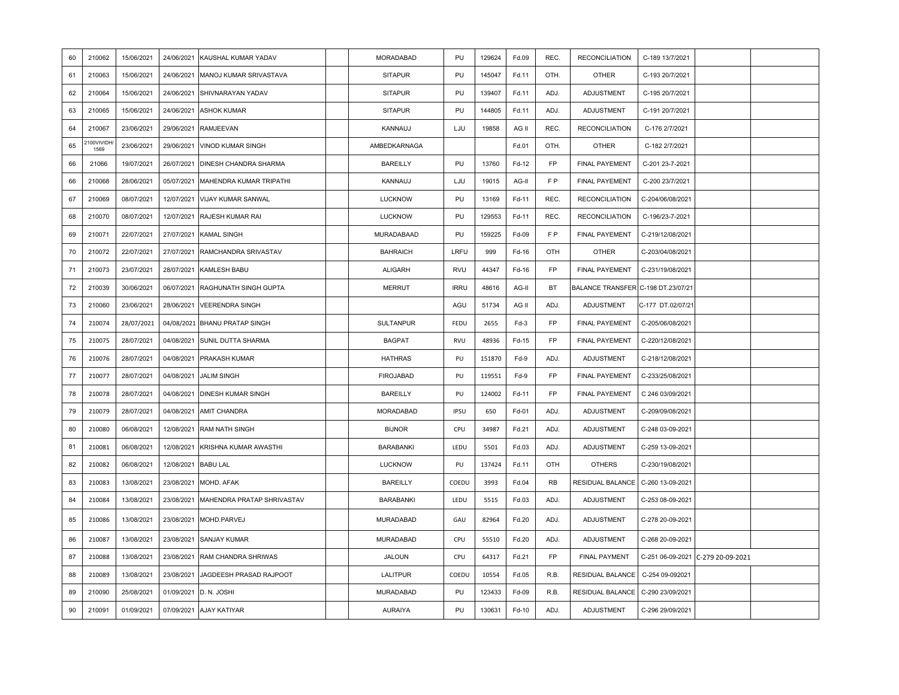| 60 | 210062             | 15/06/2021 | 24/06/2021 | KAUSHAL KUMAR YADAV            | <b>MORADABAD</b> | PU          | 129624 | Fd.09  | REC.           | <b>RECONCILIATION</b>              | C-189 13/7/2021   |                                   |  |
|----|--------------------|------------|------------|--------------------------------|------------------|-------------|--------|--------|----------------|------------------------------------|-------------------|-----------------------------------|--|
| 61 | 210063             | 15/06/2021 | 24/06/2021 | MANOJ KUMAR SRIVASTAVA         | <b>SITAPUR</b>   | PU          | 145047 | Fd.11  | OTH.           | <b>OTHER</b>                       | C-193 20/7/2021   |                                   |  |
| 62 | 210064             | 15/06/2021 | 24/06/2021 | SHIVNARAYAN YADAV              | <b>SITAPUR</b>   | PU          | 139407 | Fd.11  | ADJ.           | <b>ADJUSTMENT</b>                  | C-195 20/7/2021   |                                   |  |
| 63 | 210065             | 15/06/2021 | 24/06/2021 | <b>ASHOK KUMAR</b>             | <b>SITAPUR</b>   | PU          | 144805 | Fd.11  | ADJ.           | ADJUSTMENT                         | C-191 20/7/2021   |                                   |  |
| 64 | 210067             | 23/06/2021 | 29/06/2021 | <b>RAMJEEVAN</b>               | KANNAUJ          | LJU         | 19858  | AG II  | REC.           | <b>RECONCILIATION</b>              | C-176 2/7/2021    |                                   |  |
| 65 | 2100VIVIDH<br>1569 | 23/06/2021 | 29/06/2021 | <b>VINOD KUMAR SINGH</b>       | AMBEDKARNAGA     |             |        | Fd.01  | OTH.           | <b>OTHER</b>                       | C-182 2/7/2021    |                                   |  |
| 66 | 21066              | 19/07/2021 | 26/07/2021 | DINESH CHANDRA SHARMA          | <b>BAREILLY</b>  | PU          | 13760  | Fd-12  | FP             | <b>FINAL PAYEMENT</b>              | C-201 23-7-2021   |                                   |  |
| 66 | 210068             | 28/06/2021 | 05/07/2021 | <b>MAHENDRA KUMAR TRIPATHI</b> | KANNAUJ          | LJU         | 19015  | AG-II  | F <sub>P</sub> | <b>FINAL PAYEMENT</b>              | C-200 23/7/2021   |                                   |  |
| 67 | 210069             | 08/07/2021 | 12/07/2021 | <b>VIJAY KUMAR SANWAL</b>      | <b>LUCKNOW</b>   | PU          | 13169  | Fd-11  | REC.           | <b>RECONCILIATION</b>              | C-204/06/08/2021  |                                   |  |
| 68 | 210070             | 08/07/2021 | 12/07/2021 | RAJESH KUMAR RAI               | <b>LUCKNOW</b>   | PU          | 129553 | Fd-11  | REC.           | <b>RECONCILIATION</b>              | C-196/23-7-2021   |                                   |  |
| 69 | 210071             | 22/07/2021 | 27/07/2021 | <b>KAMAL SINGH</b>             | MURADABAAD       | PU          | 159225 | Fd-09  | F <sub>P</sub> | <b>FINAL PAYEMENT</b>              | C-219/12/08/2021  |                                   |  |
| 70 | 210072             | 22/07/2021 | 27/07/2021 | RAMCHANDRA SRIVASTAV           | <b>BAHRAICH</b>  | LRFU        | 999    | Fd-16  | OTH            | <b>OTHER</b>                       | C-203/04/08/2021  |                                   |  |
| 71 | 210073             | 23/07/2021 | 28/07/2021 | KAMLESH BABU                   | <b>ALIGARH</b>   | <b>RVU</b>  | 44347  | Fd-16  | <b>FP</b>      | FINAL PAYEMENT                     | C-231/19/08/2021  |                                   |  |
| 72 | 210039             | 30/06/2021 | 06/07/2021 | RAGHUNATH SINGH GUPTA          | <b>MERRUT</b>    | <b>IRRU</b> | 48616  | AG-II  | BT             | BALANCE TRANSFER C-198 DT.23/07/21 |                   |                                   |  |
| 73 | 210060             | 23/06/2021 | 28/06/2021 | <b>VEERENDRA SINGH</b>         |                  | AGU         | 51734  | AG II  | ADJ.           | ADJUSTMENT                         | C-177 DT.02/07/21 |                                   |  |
| 74 | 210074             | 28/07/2021 | 04/08/2021 | <b>BHANU PRATAP SINGH</b>      | <b>SULTANPUR</b> | FEDU        | 2655   | Fd-3   | FP             | <b>FINAL PAYEMENT</b>              | C-205/06/08/2021  |                                   |  |
| 75 | 210075             | 28/07/2021 | 04/08/2021 | SUNIL DUTTA SHARMA             | <b>BAGPAT</b>    | RVU         | 48936  | Fd-15  | FP             | <b>FINAL PAYEMENT</b>              | C-220/12/08/2021  |                                   |  |
| 76 | 210076             | 28/07/2021 | 04/08/2021 | PRAKASH KUMAR                  | <b>HATHRAS</b>   | PU          | 151870 | $Fd-9$ | ADJ.           | ADJUSTMENT                         | C-218/12/08/2021  |                                   |  |
| 77 | 210077             | 28/07/2021 | 04/08/2021 | <b>JALIM SINGH</b>             | <b>FIROJABAD</b> | PU          | 119551 | Fd-9   | <b>FP</b>      | <b>FINAL PAYEMENT</b>              | C-233/25/08/2021  |                                   |  |
| 78 | 210078             | 28/07/2021 | 04/08/2021 | DINESH KUMAR SINGH             | <b>BAREILLY</b>  | PU          | 124002 | Fd-11  | FP             | <b>FINAL PAYEMENT</b>              | C 246 03/09/2021  |                                   |  |
| 79 | 210079             | 28/07/2021 | 04/08/2021 | <b>AMIT CHANDRA</b>            | <b>MORADABAD</b> | IPSU        | 650    | Fd-01  | ADJ.           | ADJUSTMENT                         | C-209/09/08/2021  |                                   |  |
| 80 | 210080             | 06/08/2021 | 12/08/2021 | <b>RAM NATH SINGH</b>          | <b>BIJNOR</b>    | CPU         | 34987  | Fd.21  | ADJ.           | ADJUSTMENT                         | C-248 03-09-2021  |                                   |  |
| 81 | 210081             | 06/08/2021 | 12/08/2021 | KRISHNA KUMAR AWASTHI          | <b>BARABANKI</b> | LEDU        | 5501   | Fd.03  | ADJ.           | <b>ADJUSTMENT</b>                  | C-259 13-09-2021  |                                   |  |
| 82 | 210082             | 06/08/2021 | 12/08/2021 | <b>BABU LAL</b>                | <b>LUCKNOW</b>   | PU          | 137424 | Fd.11  | OTH            | <b>OTHERS</b>                      | C-230/19/08/2021  |                                   |  |
| 83 | 210083             | 13/08/2021 | 23/08/2021 | MOHD. AFAK                     | <b>BAREILLY</b>  | COEDU       | 3993   | Fd.04  | RB             | RESIDUAL BALANCE                   | C-260 13-09-2021  |                                   |  |
| 84 | 210084             | 13/08/2021 | 23/08/2021 | MAHENDRA PRATAP SHRIVASTAV     | <b>BARABANKI</b> | LEDU        | 5515   | Fd.03  | ADJ.           | ADJUSTMENT                         | C-253 08-09-2021  |                                   |  |
| 85 | 210086             | 13/08/2021 | 23/08/2021 | MOHD.PARVEJ                    | MURADABAD        | GAU         | 82964  | Fd.20  | ADJ.           | ADJUSTMENT                         | C-278 20-09-2021  |                                   |  |
| 86 | 210087             | 13/08/2021 | 23/08/2021 | <b>SANJAY KUMAR</b>            | MURADABAD        | CPU         | 55510  | Fd.20  | ADJ.           | ADJUSTMENT                         | C-268 20-09-2021  |                                   |  |
| 87 | 210088             | 13/08/2021 | 23/08/2021 | <b>RAM CHANDRA SHRIWAS</b>     | <b>JALOUN</b>    | CPU         | 64317  | Fd.21  | <b>FP</b>      | <b>FINAL PAYMENT</b>               |                   | C-251 06-09-2021 C-279 20-09-2021 |  |
| 88 | 210089             | 13/08/2021 | 23/08/2021 | JAGDEESH PRASAD RAJPOOT        | LALITPUR         | COEDU       | 10554  | Fd.05  | R.B.           | RESIDUAL BALANCE                   | C-254 09-092021   |                                   |  |
| 89 | 210090             | 25/08/2021 | 01/09/2021 | D. N. JOSHI                    | MURADABAD        | PU          | 123433 | Fd-09  | R.B.           | RESIDUAL BALANCE                   | C-290 23/09/2021  |                                   |  |
| 90 | 210091             | 01/09/2021 | 07/09/2021 | AJAY KATIYAR                   | <b>AURAIYA</b>   | PU          | 130631 | Fd-10  | ADJ.           | ADJUSTMENT                         | C-296 29/09/2021  |                                   |  |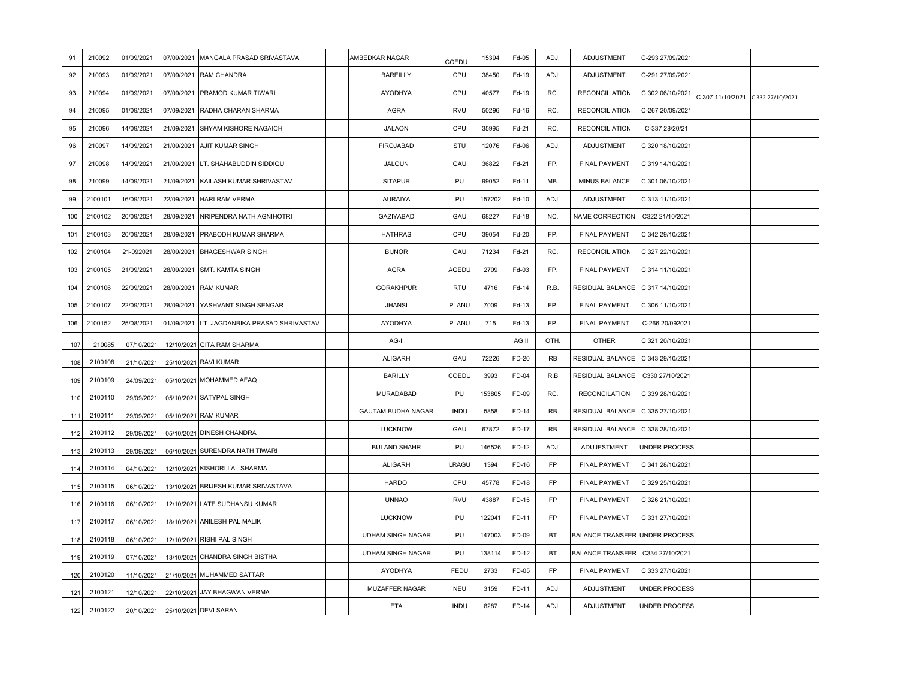| 91  | 210092  | 01/09/2021 | 07/09/2021 | MANGALA PRASAD SRIVASTAVA        | AMBEDKAR NAGAR            | COEDU       | 15394  | Fd-05 | ADJ.      | <b>ADJUSTMENT</b>                     | C-293 27/09/2021     |                                   |  |
|-----|---------|------------|------------|----------------------------------|---------------------------|-------------|--------|-------|-----------|---------------------------------------|----------------------|-----------------------------------|--|
| 92  | 210093  | 01/09/2021 | 07/09/2021 | <b>RAM CHANDRA</b>               | <b>BAREILLY</b>           | CPU         | 38450  | Fd-19 | ADJ.      | <b>ADJUSTMENT</b>                     | C-291 27/09/2021     |                                   |  |
| 93  | 210094  | 01/09/2021 | 07/09/2021 | PRAMOD KUMAR TIWARI              | AYODHYA                   | CPU         | 40577  | Fd-19 | RC.       | <b>RECONCILIATION</b>                 | C 302 06/10/2021     | C 307 11/10/2021 C 332 27/10/2021 |  |
| 94  | 210095  | 01/09/2021 | 07/09/2021 | RADHA CHARAN SHARMA              | AGRA                      | <b>RVU</b>  | 50296  | Fd-16 | RC.       | <b>RECONCILIATION</b>                 | C-267 20/09/2021     |                                   |  |
| 95  | 210096  | 14/09/2021 | 21/09/2021 | SHYAM KISHORE NAGAICH            | <b>JALAON</b>             | CPU         | 35995  | Fd-21 | RC.       | <b>RECONCILIATION</b>                 | C-337 28/20/21       |                                   |  |
| 96  | 210097  | 14/09/2021 | 21/09/2021 | AJIT KUMAR SINGH                 | <b>FIROJABAD</b>          | STU         | 12076  | Fd-06 | ADJ.      | ADJUSTMENT                            | C 320 18/10/2021     |                                   |  |
| 97  | 210098  | 14/09/2021 | 21/09/2021 | LT. SHAHABUDDIN SIDDIQU          | <b>JALOUN</b>             | GAU         | 36822  | Fd-21 | FP.       | <b>FINAL PAYMENT</b>                  | C 319 14/10/2021     |                                   |  |
| 98  | 210099  | 14/09/2021 | 21/09/2021 | KAILASH KUMAR SHRIVASTAV         | <b>SITAPUR</b>            | PU          | 99052  | Fd-11 | MB.       | <b>MINUS BALANCE</b>                  | C 301 06/10/2021     |                                   |  |
| 99  | 2100101 | 16/09/2021 | 22/09/2021 | <b>HARI RAM VERMA</b>            | AURAIYA                   | PU          | 157202 | Fd-10 | ADJ.      | <b>ADJUSTMENT</b>                     | C 313 11/10/2021     |                                   |  |
| 100 | 2100102 | 20/09/2021 | 28/09/2021 | NRIPENDRA NATH AGNIHOTRI         | <b>GAZIYABAD</b>          | GAU         | 68227  | Fd-18 | NC.       | NAME CORRECTION                       | C322 21/10/2021      |                                   |  |
| 101 | 2100103 | 20/09/2021 | 28/09/2021 | PRABODH KUMAR SHARMA             | <b>HATHRAS</b>            | CPU         | 39054  | Fd-20 | FP.       | <b>FINAL PAYMENT</b>                  | C 342 29/10/2021     |                                   |  |
| 102 | 2100104 | 21-092021  | 28/09/2021 | <b>BHAGESHWAR SINGH</b>          | <b>BIJNOR</b>             | GAU         | 71234  | Fd-21 | RC.       | <b>RECONCILIATION</b>                 | C 327 22/10/2021     |                                   |  |
| 103 | 2100105 | 21/09/2021 | 28/09/2021 | <b>SMT. KAMTA SINGH</b>          | <b>AGRA</b>               | AGEDU       | 2709   | Fd-03 | FP.       | <b>FINAL PAYMENT</b>                  | C 314 11/10/2021     |                                   |  |
| 104 | 2100106 | 22/09/2021 | 28/09/2021 | <b>RAM KUMAR</b>                 | <b>GORAKHPUR</b>          | <b>RTU</b>  | 4716   | Fd-14 | R.B.      | RESIDUAL BALANCE                      | C 317 14/10/2021     |                                   |  |
| 105 | 2100107 | 22/09/2021 | 28/09/2021 | YASHVANT SINGH SENGAR            | <b>JHANSI</b>             | PLANU       | 7009   | Fd-13 | FP.       | <b>FINAL PAYMENT</b>                  | C 306 11/10/2021     |                                   |  |
| 106 | 2100152 | 25/08/2021 | 01/09/2021 | LT. JAGDANBIKA PRASAD SHRIVASTAV | AYODHYA                   | PLANU       | 715    | Fd-13 | FP.       | <b>FINAL PAYMENT</b>                  | C-266 20/092021      |                                   |  |
| 107 | 210085  | 07/10/2021 |            | 12/10/2021 GITA RAM SHARMA       | AG-II                     |             |        | AG II | OTH.      | <b>OTHER</b>                          | C 321 20/10/2021     |                                   |  |
| 108 | 2100108 | 21/10/2021 |            | 25/10/2021 RAVI KUMAR            | <b>ALIGARH</b>            | GAU         | 72226  | FD-20 | <b>RB</b> | RESIDUAL BALANCE   C 343 29/10/2021   |                      |                                   |  |
| 109 | 2100109 | 24/09/2021 |            | 05/10/2021 MOHAMMED AFAQ         | <b>BARILLY</b>            | COEDU       | 3993   | FD-04 | R.B       | RESIDUAL BALANCE                      | C330 27/10/2021      |                                   |  |
| 110 | 2100110 | 29/09/2021 |            | 05/10/2021 SATYPAL SINGH         | <b>MURADABAD</b>          | PU          | 153805 | FD-09 | RC.       | <b>RECONCILATION</b>                  | C 339 28/10/2021     |                                   |  |
| 111 | 210011  | 29/09/2021 | 05/10/2021 | <b>RAM KUMAR</b>                 | <b>GAUTAM BUDHA NAGAR</b> | <b>INDU</b> | 5858   | FD-14 | <b>RB</b> | RESIDUAL BALANCE   C 335 27/10/2021   |                      |                                   |  |
| 112 | 2100112 | 29/09/2021 |            | 05/10/2021 DINESH CHANDRA        | <b>LUCKNOW</b>            | GAU         | 67872  | FD-17 | <b>RB</b> | RESIDUAL BALANCE   C 338 28/10/2021   |                      |                                   |  |
| 113 | 2100113 | 29/09/2021 |            | 06/10/2021 SURENDRA NATH TIWARI  | <b>BULAND SHAHR</b>       | PU          | 146526 | FD-12 | ADJ.      | ADUJESTMENT                           | <b>UNDER PROCESS</b> |                                   |  |
| 114 | 2100114 | 04/10/2021 | 12/10/2021 | KISHORI LAL SHARMA               | <b>ALIGARH</b>            | LRAGU       | 1394   | FD-16 | FP        | <b>FINAL PAYMENT</b>                  | C 341 28/10/2021     |                                   |  |
| 115 | 2100115 | 06/10/2021 | 13/10/2021 | BRIJESH KUMAR SRIVASTAVA         | <b>HARDOI</b>             | CPU         | 45778  | FD-18 | FP        | <b>FINAL PAYMENT</b>                  | C 329 25/10/2021     |                                   |  |
| 116 | 2100116 | 06/10/2021 |            | 12/10/2021 LATE SUDHANSU KUMAR   | <b>UNNAO</b>              | <b>RVU</b>  | 43887  | FD-15 | <b>FP</b> | <b>FINAL PAYMENT</b>                  | C 326 21/10/2021     |                                   |  |
| 117 | 2100117 | 06/10/2021 | 18/10/2021 | ANILESH PAL MALIK                | <b>LUCKNOW</b>            | PU          | 122041 | FD-11 | FP        | FINAL PAYMENT                         | C 331 27/10/2021     |                                   |  |
| 118 | 2100118 | 06/10/2021 |            | 12/10/2021 RISHI PAL SINGH       | <b>UDHAM SINGH NAGAR</b>  | PU          | 147003 | FD-09 | BT        | <b>BALANCE TRANSFER UNDER PROCESS</b> |                      |                                   |  |
| 119 | 2100119 | 07/10/2021 |            | 13/10/2021 CHANDRA SINGH BISTHA  | <b>UDHAM SINGH NAGAR</b>  | PU          | 138114 | FD-12 | <b>BT</b> | <b>BALANCE TRANSFER</b>               | C334 27/10/2021      |                                   |  |
| 120 | 2100120 | 11/10/2021 |            | 21/10/2021 MUHAMMED SATTAR       | AYODHYA                   | FEDU        | 2733   | FD-05 | FP        | FINAL PAYMENT                         | C 333 27/10/2021     |                                   |  |
| 121 | 2100121 | 12/10/2021 |            | 22/10/2021 JAY BHAGWAN VERMA     | MUZAFFER NAGAR            | <b>NEU</b>  | 3159   | FD-11 | ADJ.      | ADJUSTMENT                            | UNDER PROCESS        |                                   |  |
| 122 | 2100122 | 20/10/2021 |            | 25/10/2021 DEVI SARAN            | <b>ETA</b>                | <b>INDU</b> | 8287   | FD-14 | ADJ.      | ADJUSTMENT                            | <b>UNDER PROCESS</b> |                                   |  |